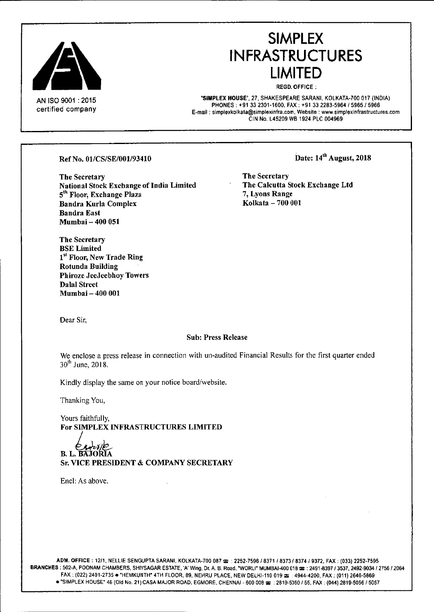

AN ISO 9001 : 2015 certified company

# **SIMPLEX IN FRASTRUCTU RES LIMITED**

REGD.OFFICE;

'SIMPLEX HOUSE', 27, SHAKESPEARE SARANI, KOLKATA.700 017 (INDIA) PHONES; +91 332301-1600, FAX; +91 332283-5964/5965/5966 **E-mail; [simplexkolkata@simplexinfra.com,](mailto:simplexkolkata@simplexinfra.com,) Website: [www.simplexinfrastructures.com](http://www.simplexinfrastructures.com)** CIN No. L45209 WB 1924 PLC 004969

#### Ref No. 01/CS/SE/001/93410

The Secretary National Stock Exchange of India Limited 5<sup>th</sup> Floor, Exchange Plaza Bandra Kurla Complex Bandra East Mumhai - 400 051

Date: 14<sup>th</sup> August, 2018

The Secretary The Calcutta Stock Exchange Ltd 7, Lyons Range Kolkata - 700 001

Dear Sir,

Dalal Street Mumbai - 400 001

The Secretary BSE Limited

Rotunda Building

1<sup>st</sup> Floor, New Trade Ring

Phiroze JeeJeebhoy Towers

#### Sub: Press Release

We enclose a press release in connection with un-audited Financial Results for the first quarter ended  $30<sup>th</sup>$  June, 2018.

Kindly display the same on your notice board/website.

Thanking You,

Yours faithfully, For SIMPLEX INFRASTRUCTURES LIMITED

B. L. BAJORIA Sr, VICE PRESIDENT & COMPANY SECRETARY

Encl: As above.

ADM. OFFICE: 12/1, NELLIE SENGUPTA SARANI, KOLKATA-700 087  $\textcircled{x}$  : 2252-7596 / 8371 / 8373 / 8374 / 9372, FAX: (033) 2252-7595 BRANCHES: 502-A, POONAM CHAMBERS, SHIVSAGAR ESTATE, 'A' Wing, Dr. A. B. Road, "WORLI" MUMBAI-400 018 x : 2491-8397 / 3537, 2492-9034 / 2756 / 2064 FAX: (022) 2491-2735 . "HEMKUNTH" 4TH FLOOR. 89, NEHRU PLACE, NEW DELHI-110 019  $\equiv$  : 4944-4200, FAX: (011) 2646-5869  $\bullet$  "SIMPLEX HOUSE" 48 (Old No. 21) CASA MAJOR ROAD, EGMORE, CHENNAI - 600 008  $\infty$  ; 2819-5J50 / 55, FAX ; (044) 2819-5056 / 5057